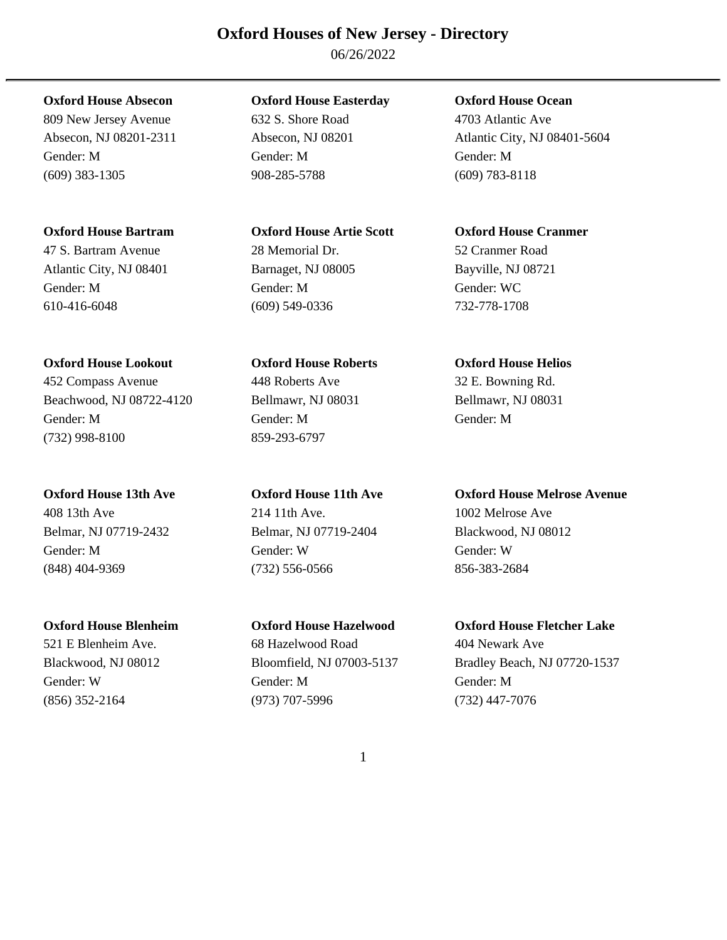06/26/2022

809 New Jersey Avenue 632 S. Shore Road 4703 Atlantic Ave Gender: M Gender: M Gender: M (609) 383-1305 908-285-5788 (609) 783-8118

# **Oxford House Bartram Oxford House Artie Scott Oxford House Cranmer**

47 S. Bartram Avenue 28 Memorial Dr. 52 Cranmer Road Atlantic City, NJ 08401 Barnaget, NJ 08005 Bayville, NJ 08721 Gender: M Gender: M Gender: WC 610-416-6048 (609) 549-0336 732-778-1708

# **Oxford House Lookout Oxford House Roberts Oxford House Helios**

452 Compass Avenue 448 Roberts Ave 32 E. Bowning Rd. Beachwood, NJ 08722-4120 Bellmawr, NJ 08031 Bellmawr, NJ 08031 Gender: M Gender: M Gender: M (732) 998-8100 859-293-6797

Gender: M Gender: W Gender: W (848) 404-9369 (732) 556-0566 856-383-2684

# **Oxford House Absecon Oxford House Easterday Oxford House Ocean**

# 408 13th Ave 214 11th Ave. 1002 Melrose Ave Belmar, NJ 07719-2432 Belmar, NJ 07719-2404 Blackwood, NJ 08012

521 E Blenheim Ave. 68 Hazelwood Road 404 Newark Ave Gender: W Gender: M Gender: M (856) 352-2164 (973) 707-5996 (732) 447-7076

Absecon, NJ 08201-2311 Absecon, NJ 08201 Atlantic City, NJ 08401-5604

## **Oxford House 13th Ave Oxford House 11th Ave Oxford House Melrose Avenue**

# **Oxford House Blenheim Oxford House Hazelwood Oxford House Fletcher Lake**

Blackwood, NJ 08012 Bloomfield, NJ 07003-5137 Bradley Beach, NJ 07720-1537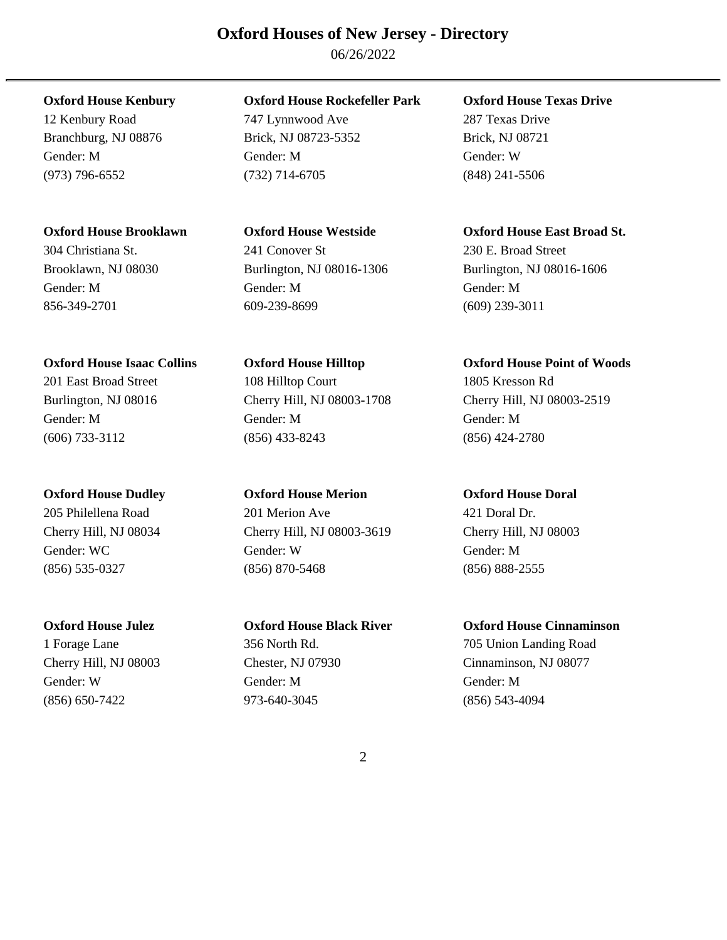06/26/2022

# **Oxford House Isaac Collins Oxford House Hilltop Oxford House Point of Woods**

Gender: W Gender: M Gender: M (856) 650-7422 973-640-3045 (856) 543-4094

# **Oxford House Kenbury Oxford House Rockefeller Park Oxford House Texas Drive**

12 Kenbury Road 747 Lynnwood Ave 287 Texas Drive Branchburg, NJ 08876 Brick, NJ 08723-5352 Brick, NJ 08721 Gender: M Gender: M Gender: W (973) 796-6552 (732) 714-6705 (848) 241-5506

# 304 Christiana St. 241 Conover St 230 E. Broad Street Gender: M Gender: M Gender: M 856-349-2701 609-239-8699 (609) 239-3011

201 East Broad Street 108 Hilltop Court 1805 Kresson Rd Gender: M Gender: M Gender: M (606) 733-3112 (856) 433-8243 (856) 424-2780

# **Oxford House Dudley Oxford House Merion Oxford House Doral**  205 Philellena Road 201 Merion Ave 421 Doral Dr.

Cherry Hill, NJ 08034 Cherry Hill, NJ 08003-3619 Cherry Hill, NJ 08003 Gender: WC Gender: W Gender: M (856) 535-0327 (856) 870-5468 (856) 888-2555

**Oxford House Brooklawn Oxford House Westside Oxford House East Broad St.**  Brooklawn, NJ 08030 Burlington, NJ 08016-1306 Burlington, NJ 08016-1606

# Burlington, NJ 08016 Cherry Hill, NJ 08003-1708 Cherry Hill, NJ 08003-2519

# **Oxford House Julez Oxford House Black River Oxford House Cinnaminson**

1 Forage Lane 356 North Rd. 705 Union Landing Road Cherry Hill, NJ 08003 Chester, NJ 07930 Cinnaminson, NJ 08077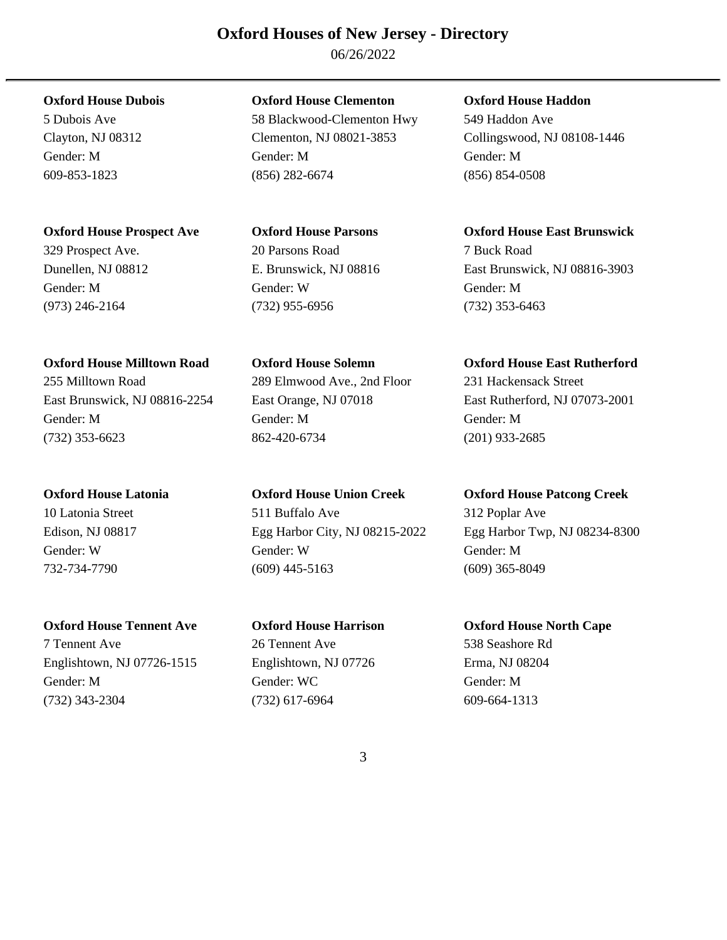06/26/2022

East Brunswick, NJ 08816-2254 East Orange, NJ 07018 East Rutherford, NJ 07073-2001 Gender: M Gender: M Gender: M (732) 353-6623 862-420-6734 (201) 933-2685

7 Tennent Ave 26 Tennent Ave 538 Seashore Rd

Englishtown, NJ 07726-1515 Englishtown, NJ 07726 Erma, NJ 08204 Gender: M Gender: WC Gender: M (732) 343-2304 (732) 617-6964 609-664-1313

**Oxford House Dubois Oxford House Clementon Oxford House Haddon**  5 Dubois Ave 58 Blackwood-Clementon Hwy 549 Haddon Ave Clayton, NJ 08312 Clementon, NJ 08021-3853 Collingswood, NJ 08108-1446 Gender: M Gender: M Gender: M 609-853-1823 (856) 282-6674 (856) 854-0508

329 Prospect Ave. 20 Parsons Road 7 Buck Road Gender: M Gender: W Gender: M (973) 246-2164 (732) 955-6956 (732) 353-6463

255 Milltown Road 289 Elmwood Ave., 2nd Floor 231 Hackensack Street

**Oxford House Latonia Oxford House Union Creek Oxford House Patcong Creek**  10 Latonia Street 511 Buffalo Ave 312 Poplar Ave Gender: W Gender: W Gender: M 732-734-7790 (609) 445-5163 (609) 365-8049

**Oxford House Prospect Ave Oxford House Parsons Oxford House East Brunswick**  Dunellen, NJ 08812 E. Brunswick, NJ 08816 East Brunswick, NJ 08816-3903

**Oxford House Milltown Road Oxford House Solemn Oxford House East Rutherford** 

Edison, NJ 08817 Egg Harbor City, NJ 08215-2022 Egg Harbor Twp, NJ 08234-8300

**Oxford House Tennent Ave Oxford House Harrison Oxford House North Cape**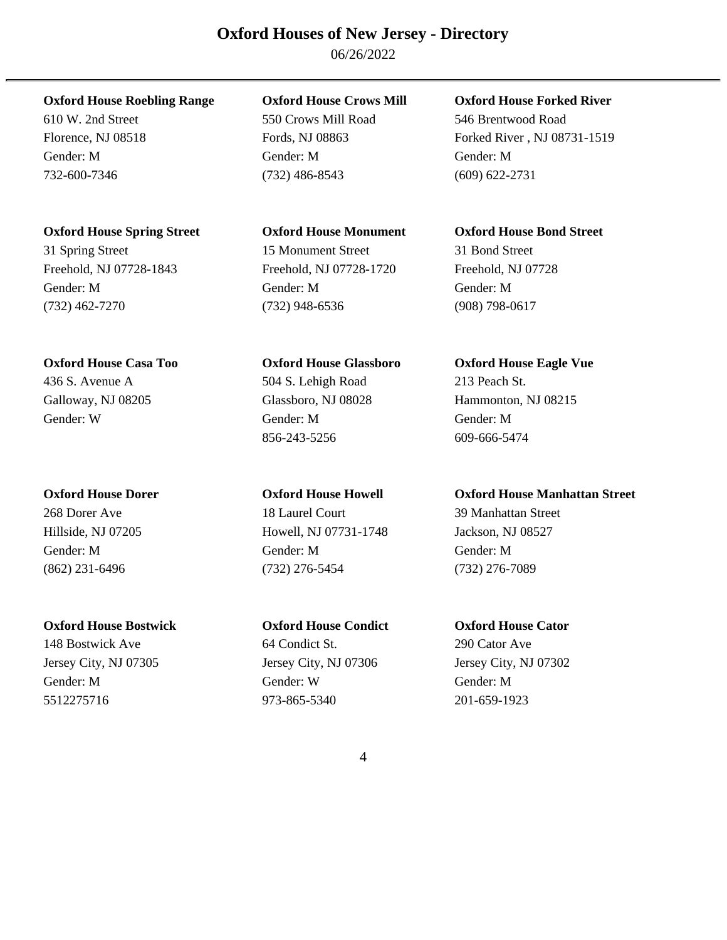06/26/2022

610 W. 2nd Street 550 Crows Mill Road 546 Brentwood Road

732-600-7346 (732) 486-8543 (609) 622-2731

**Oxford House Spring Street Oxford House Monument Oxford House Bond Street** 

**Oxford House Bostwick Oxford House Condict Oxford House Cator** 

Gender: M Gender: M Gender: M

31 Spring Street 15 Monument Street 31 Bond Street Freehold, NJ 07728-1843 Freehold, NJ 07728-1720 Freehold, NJ 07728 Gender: M Gender: M Gender: M (732) 462-7270 (732) 948-6536 (908) 798-0617

436 S. Avenue A 504 S. Lehigh Road 213 Peach St. Galloway, NJ 08205 Glassboro, NJ 08028 Hammonton, NJ 08215 Gender: W Gender: M Gender: M 856-243-5256 609-666-5474

268 Dorer Ave 18 Laurel Court 39 Manhattan Street Hillside, NJ 07205 Howell, NJ 07731-1748 Jackson, NJ 08527 Gender: M Gender: M Gender: M (862) 231-6496 (732) 276-5454 (732) 276-7089

148 Bostwick Ave 64 Condict St. 290 Cator Ave 64 Condict St. Jersey City, NJ 07305 Jersey City, NJ 07306 Jersey City, NJ 07302 Gender: M Gender: W Gender: M 5512275716 973-865-5340 201-659-1923

**Oxford House Roebling Range Oxford House Crows Mill Oxford House Forked River** 

Florence, NJ 08518 Fords, NJ 08863 Forked River, NJ 08731-1519

**Oxford House Casa Too Oxford House Glassboro Oxford House Eagle Vue** 

**Oxford House Dorer Oxford House Howell Oxford House Manhattan Street**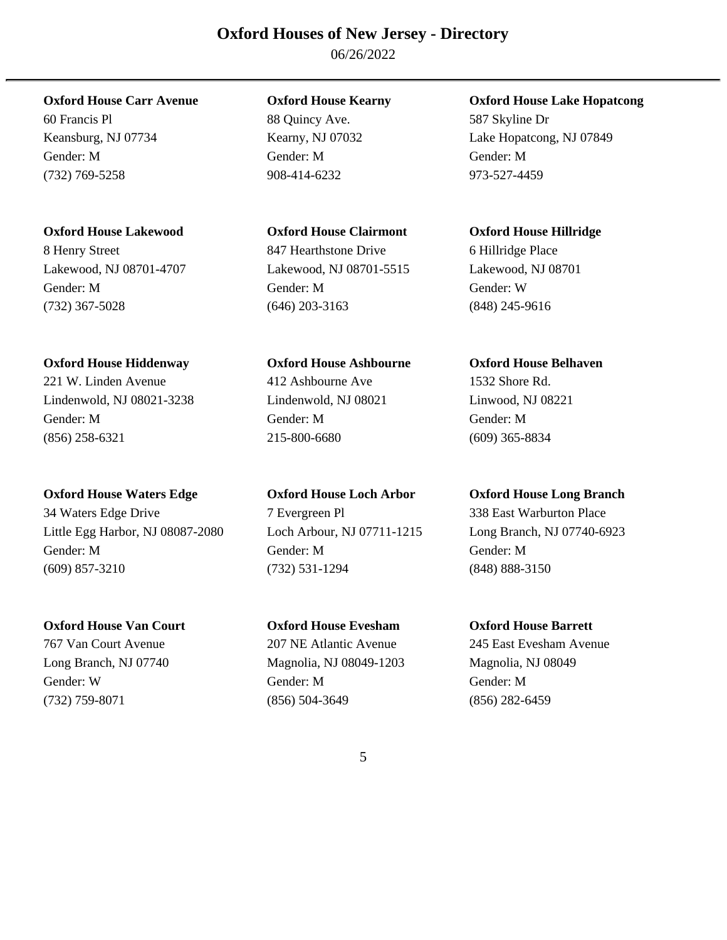06/26/2022

60 Francis Pl 88 Quincy Ave. 587 Skyline Dr Gender: M Gender: M Gender: M (732) 769-5258 908-414-6232 973-527-4459

**Oxford House Lakewood Oxford House Clairmont Oxford House Hillridge** 

(732) 367-5028 (646) 203-3163 (848) 245-9616

**Oxford House Hiddenway Oxford House Ashbourne Oxford House Belhaven** 

Lindenwold, NJ 08021-3238 Lindenwold, NJ 08021 Linwood, NJ 08221 Gender: M Gender: M Gender: M (856) 258-6321 215-800-6680 (609) 365-8834

**Oxford House Waters Edge Oxford House Loch Arbor Oxford House Long Branch** 

34 Waters Edge Drive 7 Evergreen Pl 338 East Warburton Place Little Egg Harbor, NJ 08087-2080 Loch Arbour, NJ 07711-1215 Long Branch, NJ 07740-6923 Gender: M Gender: M Gender: M (609) 857-3210 (732) 531-1294 (848) 888-3150

**Oxford House Van Court Oxford House Evesham Oxford House Barrett** 

8 Henry Street **847 Hearthstone Drive** 6 Hillridge Place Lakewood, NJ 08701-4707 Lakewood, NJ 08701-5515 Lakewood, NJ 08701 Gender: M Gender: M Gender: W

221 W. Linden Avenue 412 Ashbourne Ave 1532 Shore Rd.

Long Branch, NJ 07740 Magnolia, NJ 08049-1203 Magnolia, NJ 08049 Gender: W Gender: M Gender: M (732) 759-8071 (856) 504-3649 (856) 282-6459

**Oxford House Carr Avenue Oxford House Kearny Oxford House Lake Hopatcong** 

Keansburg, NJ 07734 Kearny, NJ 07032 Lake Hopatcong, NJ 07849

767 Van Court Avenue 207 NE Atlantic Avenue 245 East Evesham Avenue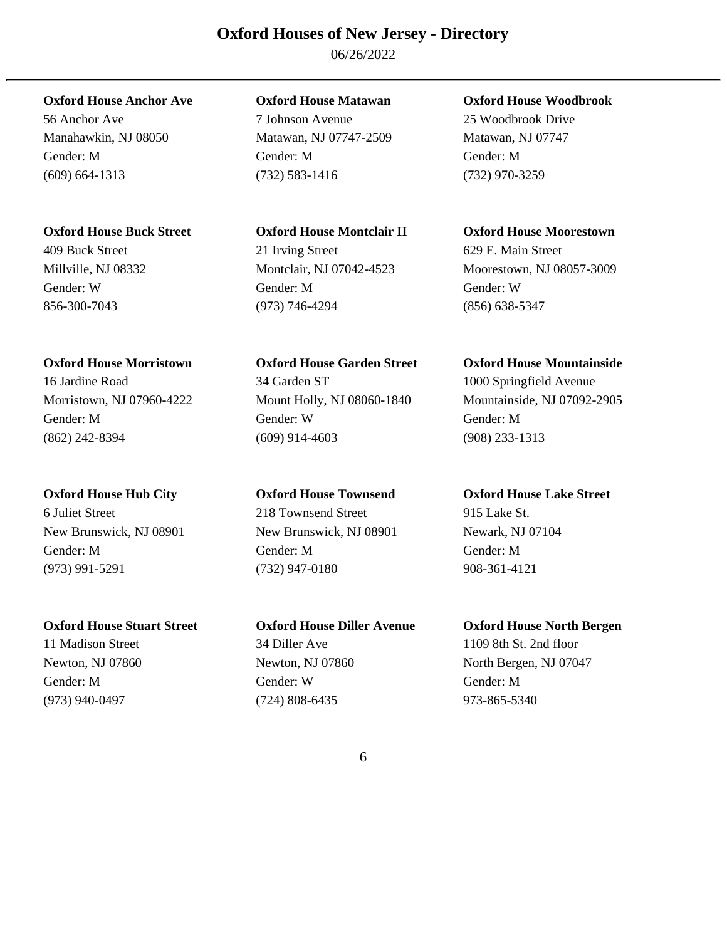06/26/2022

56 Anchor Ave 7 Johnson Avenue 25 Woodbrook Drive Manahawkin, NJ 08050 Matawan, NJ 07747-2509 Matawan, NJ 07747 Gender: M Gender: M Gender: M (609) 664-1313 (732) 583-1416 (732) 970-3259

409 Buck Street 21 Irving Street 629 E. Main Street Gender: W Gender: M Gender: W 856-300-7043 (973) 746-4294 (856) 638-5347

16 Jardine Road 34 Garden ST 1000 Springfield Avenue Morristown, NJ 07960-4222 Mount Holly, NJ 08060-1840 Mountainside, NJ 07092-2905 Gender: M Gender: W Gender: M (862) 242-8394 (609) 914-4603 (908) 233-1313

6 Juliet Street 218 Townsend Street 915 Lake St. New Brunswick, NJ 08901 New Brunswick, NJ 08901 Newark, NJ 07104 Gender: M Gender: M Gender: M (973) 991-5291 (732) 947-0180 908-361-4121

11 Madison Street 34 Diller Ave 1109 8th St. 2nd floor Newton, NJ 07860 Newton, NJ 07860 North Bergen, NJ 07047 Gender: M Gender: W Gender: M (973) 940-0497 (724) 808-6435 973-865-5340

**Oxford House Anchor Ave Oxford House Matawan Oxford House Woodbrook** 

**Oxford House Buck Street Oxford House Montclair II Oxford House Moorestown** 

Millville, NJ 08332 Montclair, NJ 07042-4523 Moorestown, NJ 08057-3009

**Oxford House Morristown Oxford House Garden Street Oxford House Mountainside** 

**Oxford House Hub City Oxford House Townsend Oxford House Lake Street** 

**Oxford House Stuart Street Oxford House Diller Avenue Oxford House North Bergen**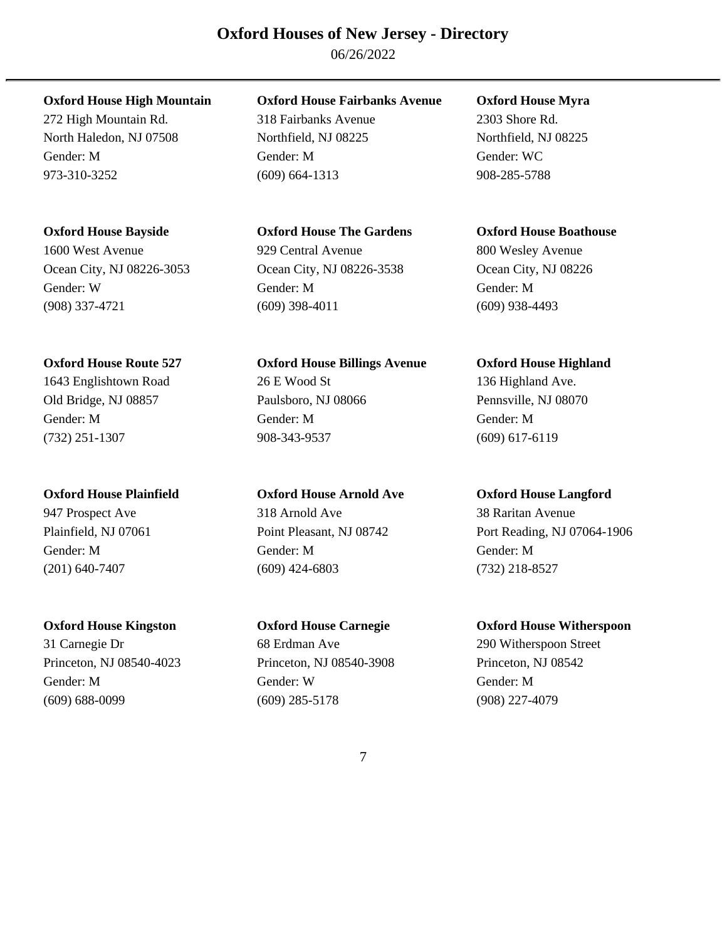06/26/2022

272 High Mountain Rd. 318 Fairbanks Avenue 2303 Shore Rd. North Haledon, NJ 07508 Northfield, NJ 08225 Northfield, NJ 08225 Gender: M Gender: M Gender: WC 973-310-3252 (609) 664-1313 908-285-5788

**Oxford House High Mountain Oxford House Fairbanks Avenue Oxford House Myra** 

**Oxford House Bayside Oxford House The Gardens Oxford House Boathouse**  1600 West Avenue 929 Central Avenue 800 Wesley Avenue Ocean City, NJ 08226-3053 Ocean City, NJ 08226-3538 Ocean City, NJ 08226 Gender: W Gender: M Gender: M (908) 337-4721 (609) 398-4011 (609) 938-4493

**Oxford House Route 527 Oxford House Billings Avenue Oxford House Highland**  1643 Englishtown Road 26 E Wood St 136 Highland Ave. Old Bridge, NJ 08857 Paulsboro, NJ 08066 Pennsville, NJ 08070 Gender: M Gender: M Gender: M (732) 251-1307 908-343-9537 (609) 617-6119

**Oxford House Plainfield Oxford House Arnold Ave Oxford House Langford**  947 Prospect Ave 318 Arnold Ave 318 Arnold Ave 38 Raritan Avenue Gender: M Gender: M Gender: M (201) 640-7407 (609) 424-6803 (732) 218-8527

31 Carnegie Dr 68 Erdman Ave 290 Witherspoon Street Princeton, NJ 08540-4023 Princeton, NJ 08540-3908 Princeton, NJ 08542 Gender: M Gender: W Gender: M (609) 688-0099 (609) 285-5178 (908) 227-4079

Plainfield, NJ 07061 Point Pleasant, NJ 08742 Port Reading, NJ 07064-1906

**Oxford House Kingston Oxford House Carnegie Oxford House Witherspoon**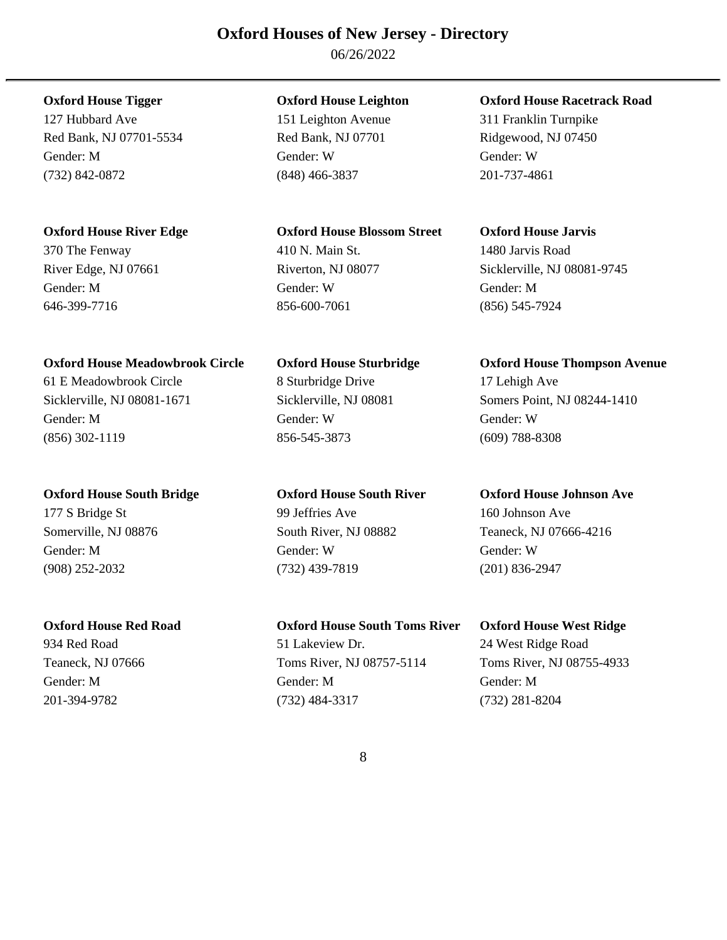06/26/2022

127 Hubbard Ave 151 Leighton Avenue 311 Franklin Turnpike Red Bank, NJ 07701-5534 Red Bank, NJ 07701 Ridgewood, NJ 07450 Gender: M Gender: W Gender: W (732) 842-0872 (848) 466-3837 201-737-4861

# **Oxford House River Edge Oxford House Blossom Street Oxford House Jarvis**

646-399-7716 856-600-7061 (856) 545-7924

## **Oxford House Meadowbrook Circle Oxford House Sturbridge Oxford House Thompson Avenue**

Gender: M Gender: W Gender: W (856) 302-1119 856-545-3873 (609) 788-8308

## **Oxford House South Bridge Oxford House South River Oxford House Johnson Ave**

177 S Bridge St 99 Jeffries Ave 160 Johnson Ave

# 370 The Fenway 410 N. Main St. 1480 Jarvis Road River Edge, NJ 07661 Riverton, NJ 08077 Sicklerville, NJ 08081-9745 Gender: M Gender: W Gender: M

61 E Meadowbrook Circle 8 Sturbridge Drive 17 Lehigh Ave

Gender: M Gender: W Gender: W (908) 252-2032 (732) 439-7819 (201) 836-2947

# **Oxford House Red Road Oxford House South Toms River Oxford House West Ridge**

934 Red Road **51 Lakeview Dr.** 24 West Ridge Road **51** Lakeview Dr. 24 West Ridge Road Teaneck, NJ 07666 Toms River, NJ 08757-5114 Toms River, NJ 08755-4933 Gender: M Gender: M Gender: M 201-394-9782 (732) 484-3317 (732) 281-8204

# **Oxford House Tigger Oxford House Leighton Oxford House Racetrack Road**

Sicklerville, NJ 08081-1671 Sicklerville, NJ 08081 Somers Point, NJ 08244-1410

Somerville, NJ 08876 South River, NJ 08882 Teaneck, NJ 07666-4216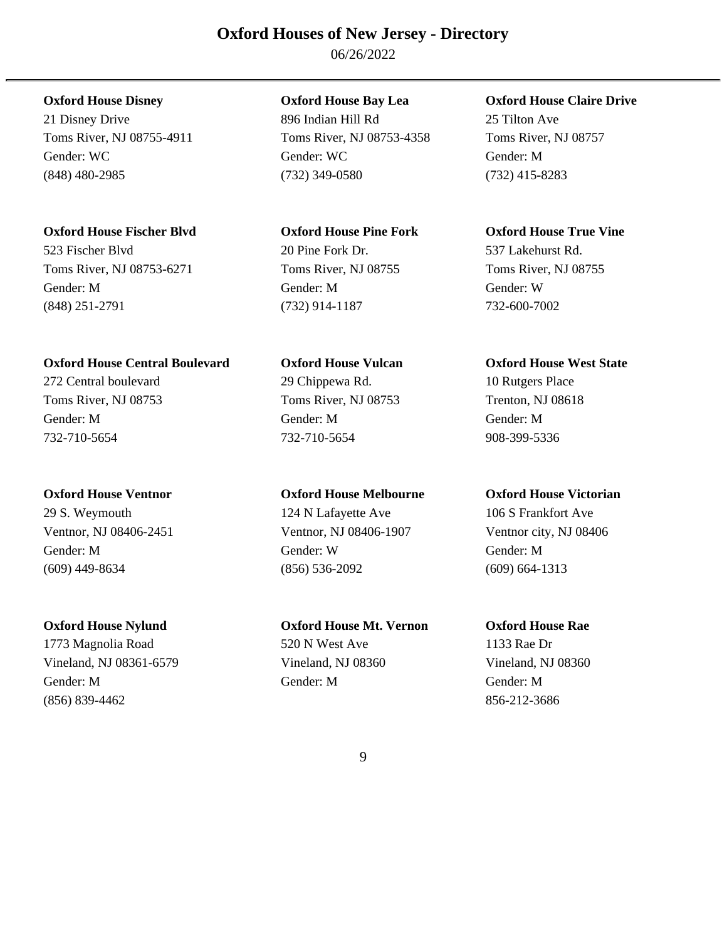06/26/2022

# **Oxford House Fischer Blvd Oxford House Pine Fork Oxford House True Vine**

523 Fischer Blvd 20 Pine Fork Dr. 537 Lakehurst Rd. Toms River, NJ 08753-6271 Toms River, NJ 08755 Toms River, NJ 08755 Gender: M Gender: M Gender: W (848) 251-2791 (732) 914-1187 732-600-7002

# **Oxford House Central Boulevard Oxford House Vulcan Oxford House West State**

732-710-5654 732-710-5654 908-399-5336

29 S. Weymouth 124 N Lafayette Ave 106 S Frankfort Ave

(856) 839-4462 856-212-3686

21 Disney Drive 896 Indian Hill Rd 25 Tilton Ave Toms River, NJ 08755-4911 Toms River, NJ 08753-4358 Toms River, NJ 08757 Gender: WC Gender: WC Gender: WC Gender: M (848) 480-2985 (732) 349-0580 (732) 415-8283

272 Central boulevard 29 Chippewa Rd. 10 Rutgers Place Toms River, NJ 08753 Toms River, NJ 08753 Trenton, NJ 08618 Gender: M Gender: M Gender: M

# **Oxford House Ventnor Oxford House Melbourne Oxford House Victorian**

Ventnor, NJ 08406-2451 Ventnor, NJ 08406-1907 Ventnor city, NJ 08406 Gender: M Gender: W Gender: M (609) 449-8634 (856) 536-2092 (609) 664-1313

**Oxford House Nylund Oxford House Mt. Vernon Oxford House Rae**  1773 Magnolia Road 520 N West Ave 1133 Rae Dr Vineland, NJ 08361-6579 Vineland, NJ 08360 Vineland, NJ 08360 Gender: M Gender: M Gender: M

# **Oxford House Disney Oxford House Bay Lea Oxford House Claire Drive**